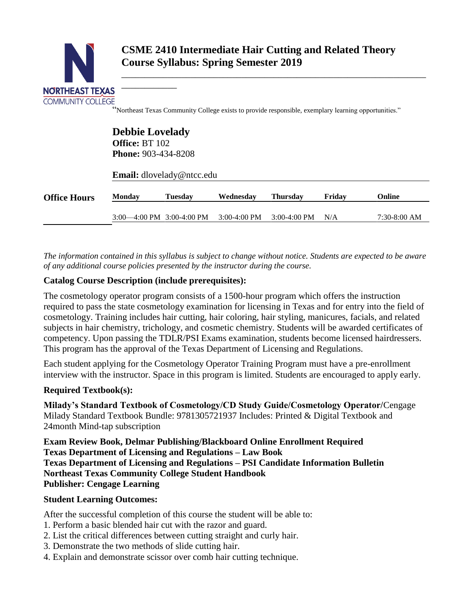

\_\_\_\_\_\_\_\_\_\_\_\_\_\_\_\_\_\_\_\_\_\_\_\_\_\_\_\_\_\_\_\_\_\_\_\_\_\_\_\_\_\_\_\_\_\_\_\_\_\_\_\_\_\_\_\_\_\_\_\_\_\_\_\_\_\_

"Northeast Texas Community College exists to provide responsible, exemplary learning opportunities."

|                     |                               | <b>Debbie Lovelady</b><br><b>Office: BT 102</b><br><b>Phone: 903-434-8208</b><br><b>Email:</b> dlovelady@ntcc.edu |                |                 |        |                |
|---------------------|-------------------------------|-------------------------------------------------------------------------------------------------------------------|----------------|-----------------|--------|----------------|
| <b>Office Hours</b> | <b>Monday</b>                 | <b>Tuesday</b>                                                                                                    | Wednesday      | <b>Thursday</b> | Friday | Online         |
|                     | $3:00-4:00$ PM $3:00-4:00$ PM |                                                                                                                   | $3:00-4:00$ PM | $3:00-4:00$ PM  | N/A    | $7:30-8:00$ AM |

*The information contained in this syllabus is subject to change without notice. Students are expected to be aware of any additional course policies presented by the instructor during the course.*

# **Catalog Course Description (include prerequisites):**

\_\_\_\_\_\_\_\_\_\_\_\_

The cosmetology operator program consists of a 1500-hour program which offers the instruction required to pass the state cosmetology examination for licensing in Texas and for entry into the field of cosmetology. Training includes hair cutting, hair coloring, hair styling, manicures, facials, and related subjects in hair chemistry, trichology, and cosmetic chemistry. Students will be awarded certificates of competency. Upon passing the TDLR/PSI Exams examination, students become licensed hairdressers. This program has the approval of the Texas Department of Licensing and Regulations.

Each student applying for the Cosmetology Operator Training Program must have a pre-enrollment interview with the instructor. Space in this program is limited. Students are encouraged to apply early.

#### **Required Textbook(s):**

**Milady's Standard Textbook of Cosmetology/CD Study Guide/Cosmetology Operator/**Cengage Milady Standard Textbook Bundle: 9781305721937 Includes: Printed & Digital Textbook and 24month Mind-tap subscription

**Exam Review Book, Delmar Publishing/Blackboard Online Enrollment Required Texas Department of Licensing and Regulations – Law Book Texas Department of Licensing and Regulations – PSI Candidate Information Bulletin Northeast Texas Community College Student Handbook Publisher: Cengage Learning**

#### **Student Learning Outcomes:**

After the successful completion of this course the student will be able to:

- 1. Perform a basic blended hair cut with the razor and guard.
- 2. List the critical differences between cutting straight and curly hair.
- 3. Demonstrate the two methods of slide cutting hair.
- 4. Explain and demonstrate scissor over comb hair cutting technique.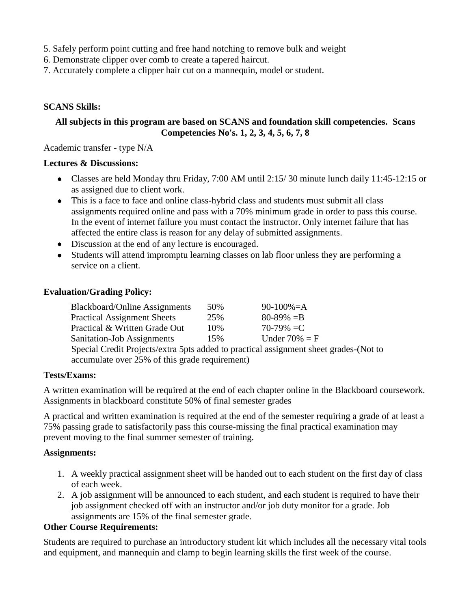- 5. Safely perform point cutting and free hand notching to remove bulk and weight
- 6. Demonstrate clipper over comb to create a tapered haircut.
- 7. Accurately complete a clipper hair cut on a mannequin, model or student.

# **SCANS Skills:**

## **All subjects in this program are based on SCANS and foundation skill competencies. Scans Competencies No's. 1, 2, 3, 4, 5, 6, 7, 8**

Academic transfer - type N/A

#### **Lectures & Discussions:**

- Classes are held Monday thru Friday, 7:00 AM until 2:15/ 30 minute lunch daily 11:45-12:15 or as assigned due to client work.
- This is a face to face and online class-hybrid class and students must submit all class assignments required online and pass with a 70% minimum grade in order to pass this course. In the event of internet failure you must contact the instructor. Only internet failure that has affected the entire class is reason for any delay of submitted assignments.
- Discussion at the end of any lecture is encouraged.
- Students will attend impromptu learning classes on lab floor unless they are performing a service on a client.

## **Evaluation/Grading Policy:**

| <b>Blackboard/Online Assignments</b>                                                  | 50% | $90-100\% = A$   |  |  |  |  |
|---------------------------------------------------------------------------------------|-----|------------------|--|--|--|--|
| <b>Practical Assignment Sheets</b>                                                    | 25% | $80 - 89\% = B$  |  |  |  |  |
| Practical & Written Grade Out                                                         | 10% | 70-79% $=C$      |  |  |  |  |
| <b>Sanitation-Job Assignments</b>                                                     | 15% | Under $70\% = F$ |  |  |  |  |
| Special Credit Projects/extra 5pts added to practical assignment sheet grades-(Not to |     |                  |  |  |  |  |
| accumulate over 25% of this grade requirement)                                        |     |                  |  |  |  |  |

#### **Tests/Exams:**

A written examination will be required at the end of each chapter online in the Blackboard coursework. Assignments in blackboard constitute 50% of final semester grades

A practical and written examination is required at the end of the semester requiring a grade of at least a 75% passing grade to satisfactorily pass this course-missing the final practical examination may prevent moving to the final summer semester of training.

# **Assignments:**

- 1. A weekly practical assignment sheet will be handed out to each student on the first day of class of each week.
- 2. A job assignment will be announced to each student, and each student is required to have their job assignment checked off with an instructor and/or job duty monitor for a grade. Job assignments are 15% of the final semester grade.

#### **Other Course Requirements:**

Students are required to purchase an introductory student kit which includes all the necessary vital tools and equipment, and mannequin and clamp to begin learning skills the first week of the course.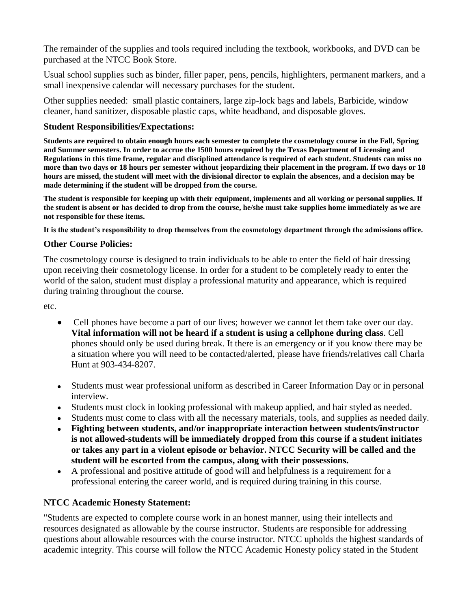The remainder of the supplies and tools required including the textbook, workbooks, and DVD can be purchased at the NTCC Book Store.

Usual school supplies such as binder, filler paper, pens, pencils, highlighters, permanent markers, and a small inexpensive calendar will necessary purchases for the student.

Other supplies needed: small plastic containers, large zip-lock bags and labels, Barbicide, window cleaner, hand sanitizer, disposable plastic caps, white headband, and disposable gloves.

## **Student Responsibilities/Expectations:**

**Students are required to obtain enough hours each semester to complete the cosmetology course in the Fall, Spring and Summer semesters. In order to accrue the 1500 hours required by the Texas Department of Licensing and Regulations in this time frame, regular and disciplined attendance is required of each student. Students can miss no more than two days or 18 hours per semester without jeopardizing their placement in the program. If two days or 18 hours are missed, the student will meet with the divisional director to explain the absences, and a decision may be made determining if the student will be dropped from the course.**

**The student is responsible for keeping up with their equipment, implements and all working or personal supplies. If the student is absent or has decided to drop from the course, he/she must take supplies home immediately as we are not responsible for these items.**

**It is the student's responsibility to drop themselves from the cosmetology department through the admissions office.**

## **Other Course Policies:**

The cosmetology course is designed to train individuals to be able to enter the field of hair dressing upon receiving their cosmetology license. In order for a student to be completely ready to enter the world of the salon, student must display a professional maturity and appearance, which is required during training throughout the course.

etc.

- Cell phones have become a part of our lives; however we cannot let them take over our day. **Vital information will not be heard if a student is using a cellphone during class**. Cell phones should only be used during break. It there is an emergency or if you know there may be a situation where you will need to be contacted/alerted, please have friends/relatives call Charla Hunt at 903-434-8207.
- Students must wear professional uniform as described in Career Information Day or in personal interview.
- Students must clock in looking professional with makeup applied, and hair styled as needed.
- Students must come to class with all the necessary materials, tools, and supplies as needed daily.
- **Fighting between students, and/or inappropriate interaction between students/instructor is not allowed-students will be immediately dropped from this course if a student initiates or takes any part in a violent episode or behavior. NTCC Security will be called and the student will be escorted from the campus, along with their possessions.**
- A professional and positive attitude of good will and helpfulness is a requirement for a professional entering the career world, and is required during training in this course.

# **NTCC Academic Honesty Statement:**

"Students are expected to complete course work in an honest manner, using their intellects and resources designated as allowable by the course instructor. Students are responsible for addressing questions about allowable resources with the course instructor. NTCC upholds the highest standards of academic integrity. This course will follow the NTCC Academic Honesty policy stated in the Student